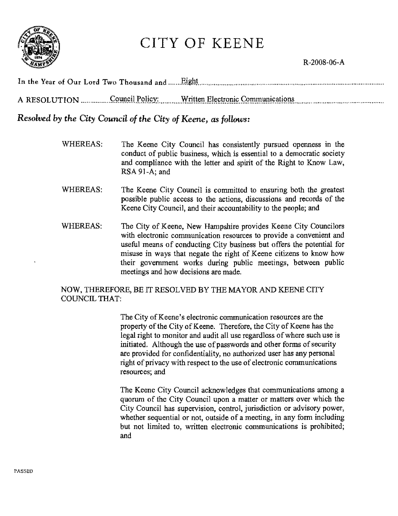

# CITY OF KEENE

## R-2008-06-A

| Council Policy: | Written Electronic Communications |
|-----------------|-----------------------------------|

## Resolved by the City Council of the City of Keene, as follows:

- WHEREAS: The Keene City Council has consistently pursued openness in the conduct of public business, which is essential to a democratic society and compliance with the letter and spirit of the Right to Know Law, RSA 91-A: and
- **WHEREAS:** The Keene City Council is committed to ensuring both the greatest possible public access to the actions, discussions and records of the Keene City Council, and their accountability to the people; and
- **WHEREAS:** The City of Keene, New Hampshire provides Keene City Councilors with electronic communication resources to provide a convenient and useful means of conducting City business but offers the potential for misuse in ways that negate the right of Keene citizens to know how their government works during public meetings, between public meetings and how decisions are made.

## NOW, THEREFORE, BE IT RESOLVED BY THE MAYOR AND KEENE CITY **COUNCIL THAT:**

The City of Keene's electronic communication resources are the property of the City of Keene. Therefore, the City of Keene has the legal right to monitor and audit all use regardless of where such use is initiated. Although the use of passwords and other forms of security are provided for confidentiality, no authorized user has any personal right of privacy with respect to the use of electronic communications resources: and

The Keene City Council acknowledges that communications among a quorum of the City Council upon a matter or matters over which the City Council has supervision, control, jurisdiction or advisory power, whether sequential or not, outside of a meeting, in any form including but not limited to, written electronic communications is prohibited; and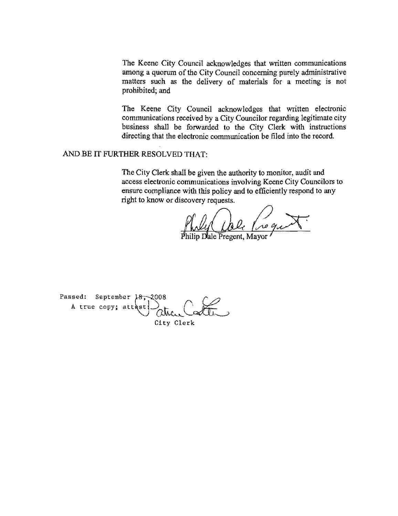The Keene City Council acknowledges that written communications among a quorum of the City Council concerning purely administrative matters such as the delivery of materials for a meeting is not prohibited; and

The Keene City Council acknowledges that written electronic communications received by a City Councilor regarding legitimate city business shall be forwarded to the City Clerk with instructions directing that the electronic communication be filed into the record.

AND BE IT FURTHER RESOLVED THAT:

The City Clerk shall be given the authority to monitor, audit and access electronic communications involving Keene City Councilors to ensure compliance with this policy and to efficiently respond to any right to know or discovery requests.

haly ale negro

Passed: September  $\frac{18}{100}$  2008<br>A true copy; attest... City Clerk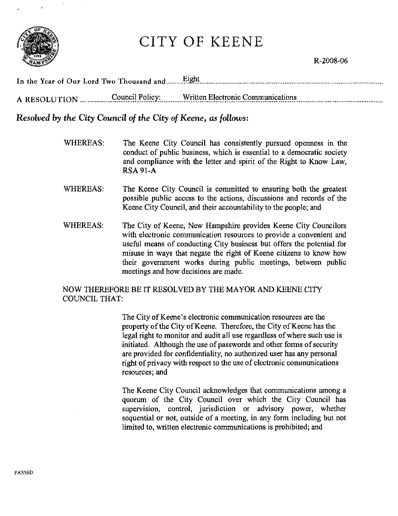

# **CITY OF KEENE**

In the Year of Our Lord Two Thousand and ........ Eight. 

## Resolved by the City Council of the City of Keene, as follows:

- WHEREAS: The Keene City Council has consistently pursued openness in the conduct of public business, which is essential to a democratic society and compliance with the letter and spirit of the Right to Know Law. **RSA 91-A**
- **WHEREAS:** The Keene City Council is committed to ensuring both the greatest possible public access to the actions, discussions and records of the Keene City Council, and their accountability to the people; and
- **WHEREAS:** The City of Keene, New Hampshire provides Keene City Councilors with electronic communication resources to provide a convenient and useful means of conducting City business but offers the potential for misuse in ways that negate the right of Keene citizens to know how their government works during public meetings, between public meetings and how decisions are made.

## NOW THEREFORE BE IT RESOLVED BY THE MAYOR AND KEENE CITY **COUNCIL THAT:**

The City of Keene's electronic communication resources are the property of the City of Keene. Therefore, the City of Keene has the legal right to monitor and audit all use regardless of where such use is initiated. Although the use of passwords and other forms of security are provided for confidentiality, no authorized user has any personal right of privacy with respect to the use of electronic communications resources; and

The Keene City Council acknowledges that communications among a quorum of the City Council over which the City Council has supervision, control, jurisdiction or advisory power, whether sequential or not, outside of a meeting, in any form including but not limited to, written electronic communications is prohibited; and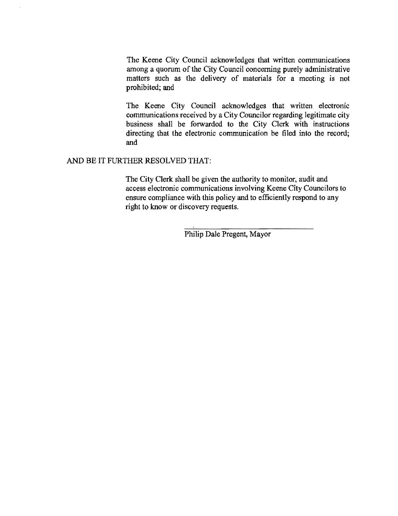The Keene City Council acknowledges that written communications among a quorum of the City Council concerning purely administrative matters such as the delivery of materials for a meeting is not prohibited; and

The Keene City Council acknowledges that written electronic communications received by a City Councilor regarding legitimate city business shall be forwarded to the City Clerk with instructions directing that the electronic communication be filed into the record; and

#### AND BE IT FURTHER RESOLVED THAT:

The City Clerk shall be given the authority to monitor, audit and access electronic communications involving Keene City Councilors to ensure compliance with this policy and to efficiently respond to any right to know or discovery requests.

Philip Dale Pregent, Mayor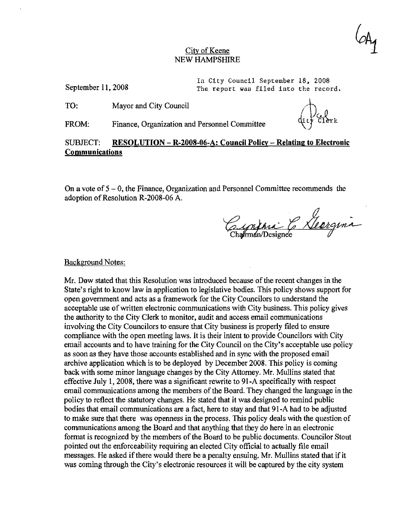#### City of Keene NEW HAMPSHIRE

September II, 2008

In City Council September 18, 2008 The report was filed into the record.

TO: Mayor and City Council

FROM: Finance, Organization and Personnel Committee

### SUBJECT: **RESOLUTION - R-2008-06-A: Council Policy - Relating to Electronic Communications**

On a vote of  $5 - 0$ , the Finance, Organization and Personnel Committee recommends the adoption of Resolution R·2008·06 A.

Eynini & Georgina

Background Notes:

Mr. Dow stated that this Resolution was introduced because of the recent changes in the State's right to know law in application to legislative bodies. This policy shows support for open government and acts as a framework for the City Councilors to understand the acceptable use of written electronic communications with City business. This policy gives the authority to the City Clerk to monitor, audit and access email communications involving the City Councilors to ensure that City business is properly filed to ensure compliance with the open meeting laws. It is their intent to provide Councilors with City email accounts and to have training for the City Council on the City's acceptable use policy as soon as they have those accounts established and in sync with the proposed email archive application which is to be deployed by December 2008. This policy is coming back with some minor language changes by the City Attomey. Mr. Mullins stated that effective July 1,2008, there was a significant rewrite to 91-A specifically with respect email communications among the members of the Board. They changed the language in the policy to reflect the statutory changes. He stated that it was designed to remind public bodies that email communications are a fact, here to stay and that 91·A had to be adjusted to make sure that there was openness in the process. This policy deals with the question of communications among the Board and that anything that they do here in an electronic format is recognized by the members of the Board to be public documents. Councilor Stout pointed out the enforceability requiring an elected City official to actually file email messages. He asked ifthere would there be a penalty ensuing. Mr. Mullins stated that ifit was coming through the City's electronic resources it will be captured by the city system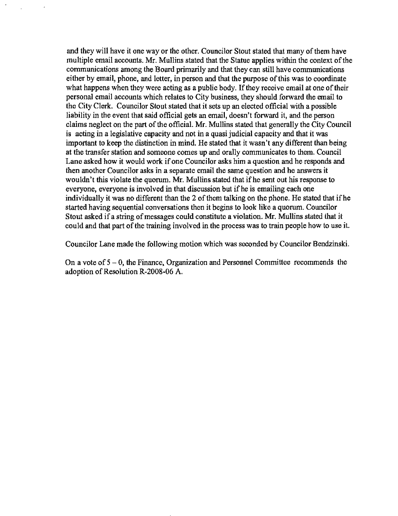and they will have it one way or the other. Councilor Stout stated that many of them have multiple email accounts. Mr. Mullins stated that the Statue applies within the context of the communications among the Board primarily and that they can still have communications either by email, phone, and letter, in person and that the purpose of this was to coordinate what happens when they were acting as a public body. If they receive email at one of their personal email accounts which relates to City business, they should forward the email to the City Clerk. Councilor Stout stated that it sets up an elected official with a possible liability in the event that said official gets an email, doesn't forward it, and the person claims neglect on the part of the official. Mr. Mullins stated that generally the City Council is acting in a legislative capacity and not in a quasi judicial capacity and that it was important to keep the distinction in mind. He stated that it wasn't any different than being at the transfer station and someone comes up and orally communicates to them. Council Lane asked how it would work if one Councilor asks him a question and he responds and then another Councilor asks in a separate email the same question and he answers it wouldn't this violate the quorum. Mr. Mullins stated that if he sent out his response to everyone, everyone is involved in that discussion but if he is emailing each one individually it was no different than the 2 of them talking on the phone. He stated that if he started having sequential conversations then it begins to look like a quorum. Councilor Stout asked if a string of messages could constitute a violation. Mr. Mullins stated that it could and that part of the training involved in the process was to train people how to use it.

Councilor Lane made the following motion which was seconded by Councilor Bendzinski.

On a vote of  $5 - 0$ , the Finance, Organization and Personnel Committee recommends the adoption of Resolution R-2008-06 A.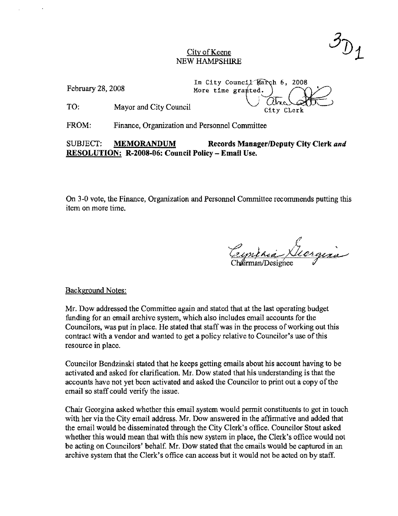#### City of Keene NEW HAMPSHIRE

In City Council March 6, 2008<br>More time grapted. NEW HAMPSHIRE<br>February 28, 2008<br>More time granted.<br> $\frac{1}{\sqrt{2\pi}}\left(\frac{1}{\sqrt{2\pi}}\right)^{1/2}$ 

TO: Mayor and City Council . Concerned the council of the council case of the council case of the council case of the council case of the council case of the council case of the council case of the council case of the coun

FROM: Finance, Organization and Personnel Committee

## SUBJECT: MEMORANDUM Records Manager/Deputy City Clerk and RESOLUTION: R-2008-06: Council Policy - Email Use.

On 3-0 votc, the Finance, Organization and Personnel Committee recommends putting this item on more time.

Background Notes:

Mr. Dow addressed the Committee again and stated that at the last operating budget funding for an email archive system, which also includes email accounts for the Councilors, was put in place. He stated that staff was in the process of working out this contract with a vendor and wanted to get a policy relative to Councilor's use of this resource in place.

Councilor Bendzinski stated that he keeps getting emails about his aecount having to be activated and asked for clarification. Mr. Dow stated that his understanding is that the accounts have not yet been activated and asked the Councilor to print out a copy of the email so staff could verify the issue.

Chair Geergina asked whether this email system would permit constituents to get in touch with her via the City email address. Mr. Dow answered in the affirmative and added that the email would be disseminated through the City Clerk's office. Councilor Stout asked whether this would mean that with this new system in place, the Clerk's office would not be acting on Councilors' behalf. Mr. Dow stated that the emails would be captured in an archive system that the Clerk's office can access but it would not be acted on by staff.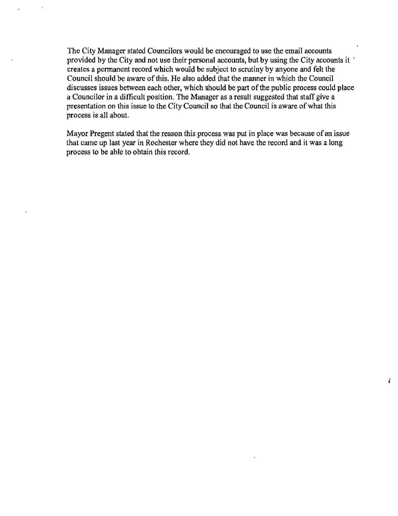The City Manager stated Councilors would be encouraged to use the email accounts provided by the City and not use their personal accounts, but by using the City accounts it . creates a permanent record which would be subject to scrutiny by anyone and felt the Council should be aware of this. He also added that the manner in which the Council discusses issues between each other, which should be part of the public process could placc a Councilor in a difficult position. The Manager as a result suggested that staff give a presentation on this issue to the City Council so that the Council is aware of what this process is all about.

Mayor Pregent stated that the reason this process was put in place was because of an issue that came up last year in Rochester where they did not have the record and it was a long process to be able to obtain this record.

 $\frac{1}{2}$